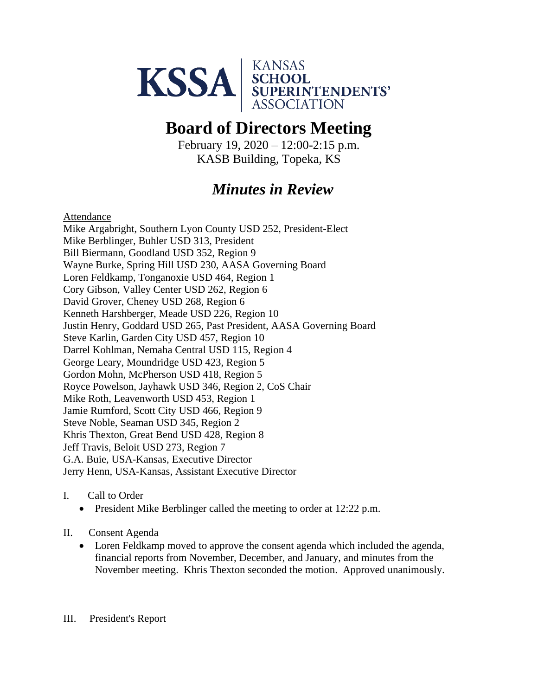

# **Board of Directors Meeting**

February 19, 2020 – 12:00-2:15 p.m. KASB Building, Topeka, KS

## *Minutes in Review*

Attendance

Mike Argabright, Southern Lyon County USD 252, President-Elect Mike Berblinger, Buhler USD 313, President Bill Biermann, Goodland USD 352, Region 9 Wayne Burke, Spring Hill USD 230, AASA Governing Board Loren Feldkamp, Tonganoxie USD 464, Region 1 Cory Gibson, Valley Center USD 262, Region 6 David Grover, Cheney USD 268, Region 6 Kenneth Harshberger, Meade USD 226, Region 10 Justin Henry, Goddard USD 265, Past President, AASA Governing Board Steve Karlin, Garden City USD 457, Region 10 Darrel Kohlman, Nemaha Central USD 115, Region 4 George Leary, Moundridge USD 423, Region 5 Gordon Mohn, McPherson USD 418, Region 5 Royce Powelson, Jayhawk USD 346, Region 2, CoS Chair Mike Roth, Leavenworth USD 453, Region 1 Jamie Rumford, Scott City USD 466, Region 9 Steve Noble, Seaman USD 345, Region 2 Khris Thexton, Great Bend USD 428, Region 8 Jeff Travis, Beloit USD 273, Region 7 G.A. Buie, USA-Kansas, Executive Director Jerry Henn, USA-Kansas, Assistant Executive Director

- I. Call to Order
	- President Mike Berblinger called the meeting to order at 12:22 p.m.
- II. Consent Agenda
	- Loren Feldkamp moved to approve the consent agenda which included the agenda, financial reports from November, December, and January, and minutes from the November meeting. Khris Thexton seconded the motion. Approved unanimously.

#### III. President's Report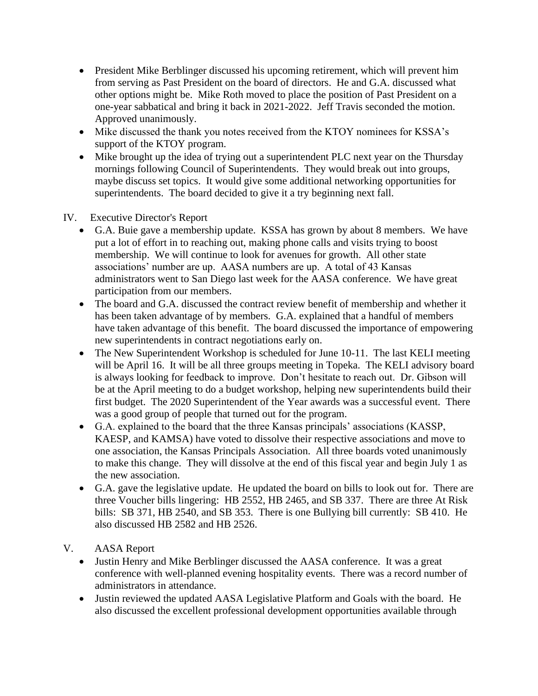- President Mike Berblinger discussed his upcoming retirement, which will prevent him from serving as Past President on the board of directors. He and G.A. discussed what other options might be. Mike Roth moved to place the position of Past President on a one-year sabbatical and bring it back in 2021-2022. Jeff Travis seconded the motion. Approved unanimously.
- Mike discussed the thank you notes received from the KTOY nominees for KSSA's support of the KTOY program.
- Mike brought up the idea of trying out a superintendent PLC next year on the Thursday mornings following Council of Superintendents. They would break out into groups, maybe discuss set topics. It would give some additional networking opportunities for superintendents. The board decided to give it a try beginning next fall.

### IV. Executive Director's Report

- G.A. Buie gave a membership update. KSSA has grown by about 8 members. We have put a lot of effort in to reaching out, making phone calls and visits trying to boost membership. We will continue to look for avenues for growth. All other state associations' number are up. AASA numbers are up. A total of 43 Kansas administrators went to San Diego last week for the AASA conference. We have great participation from our members.
- The board and G.A. discussed the contract review benefit of membership and whether it has been taken advantage of by members. G.A. explained that a handful of members have taken advantage of this benefit. The board discussed the importance of empowering new superintendents in contract negotiations early on.
- The New Superintendent Workshop is scheduled for June 10-11. The last KELI meeting will be April 16. It will be all three groups meeting in Topeka. The KELI advisory board is always looking for feedback to improve. Don't hesitate to reach out. Dr. Gibson will be at the April meeting to do a budget workshop, helping new superintendents build their first budget. The 2020 Superintendent of the Year awards was a successful event. There was a good group of people that turned out for the program.
- G.A. explained to the board that the three Kansas principals' associations (KASSP, KAESP, and KAMSA) have voted to dissolve their respective associations and move to one association, the Kansas Principals Association. All three boards voted unanimously to make this change. They will dissolve at the end of this fiscal year and begin July 1 as the new association.
- G.A. gave the legislative update. He updated the board on bills to look out for. There are three Voucher bills lingering: HB 2552, HB 2465, and SB 337. There are three At Risk bills: SB 371, HB 2540, and SB 353. There is one Bullying bill currently: SB 410. He also discussed HB 2582 and HB 2526.
- V. AASA Report
	- Justin Henry and Mike Berblinger discussed the AASA conference. It was a great conference with well-planned evening hospitality events. There was a record number of administrators in attendance.
	- Justin reviewed the updated AASA Legislative Platform and Goals with the board. He also discussed the excellent professional development opportunities available through